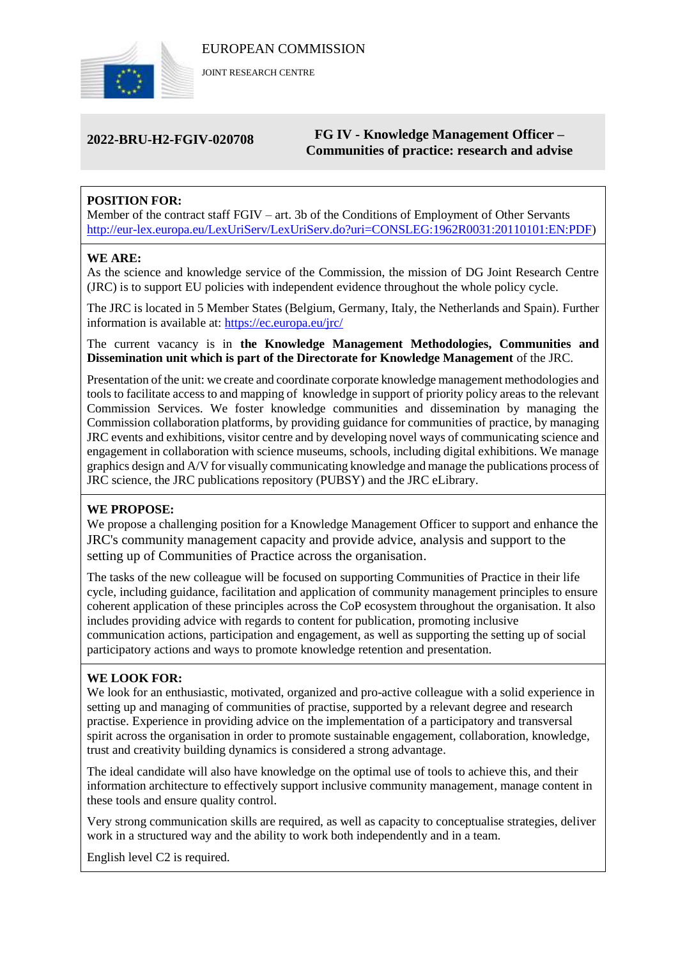

JOINT RESEARCH CENTRE

# **2022-BRU-H2-FGIV-020708 FG IV - Knowledge Management Officer – Communities of practice: research and advise**

# **POSITION FOR:**

Member of the contract staff FGIV – art. 3b of the Conditions of Employment of Other Servants [http://eur-lex.europa.eu/LexUriServ/LexUriServ.do?uri=CONSLEG:1962R0031:20110101:EN:PDF\)](http://eur-lex.europa.eu/LexUriServ/LexUriServ.do?uri=CONSLEG:1962R0031:20110101:EN:PDF)

#### **WE ARE:**

As the science and knowledge service of the Commission, the mission of DG Joint Research Centre (JRC) is to support EU policies with independent evidence throughout the whole policy cycle.

The JRC is located in 5 Member States (Belgium, Germany, Italy, the Netherlands and Spain). Further information is available at: <https://ec.europa.eu/jrc/>

The current vacancy is in **the Knowledge Management Methodologies, Communities and Dissemination unit which is part of the Directorate for Knowledge Management** of the JRC.

Presentation of the unit: we create and coordinate corporate knowledge management methodologies and tools to facilitate access to and mapping of knowledge in support of priority policy areas to the relevant Commission Services. We foster knowledge communities and dissemination by managing the Commission collaboration platforms, by providing guidance for communities of practice, by managing JRC events and exhibitions, visitor centre and by developing novel ways of communicating science and engagement in collaboration with science museums, schools, including digital exhibitions. We manage graphics design and A/V for visually communicating knowledge and manage the publications process of JRC science, the JRC publications repository (PUBSY) and the JRC eLibrary.

### **WE PROPOSE:**

We propose a challenging position for a Knowledge Management Officer to support and enhance the JRC's community management capacity and provide advice, analysis and support to the setting up of Communities of Practice across the organisation.

The tasks of the new colleague will be focused on supporting Communities of Practice in their life cycle, including guidance, facilitation and application of community management principles to ensure coherent application of these principles across the CoP ecosystem throughout the organisation. It also includes providing advice with regards to content for publication, promoting inclusive communication actions, participation and engagement, as well as supporting the setting up of social participatory actions and ways to promote knowledge retention and presentation.

### **WE LOOK FOR:**

We look for an enthusiastic, motivated, organized and pro-active colleague with a solid experience in setting up and managing of communities of practise, supported by a relevant degree and research practise. Experience in providing advice on the implementation of a participatory and transversal spirit across the organisation in order to promote sustainable engagement, collaboration, knowledge, trust and creativity building dynamics is considered a strong advantage.

The ideal candidate will also have knowledge on the optimal use of tools to achieve this, and their information architecture to effectively support inclusive community management, manage content in these tools and ensure quality control.

Very strong communication skills are required, as well as capacity to conceptualise strategies, deliver work in a structured way and the ability to work both independently and in a team.

English level C2 is required.